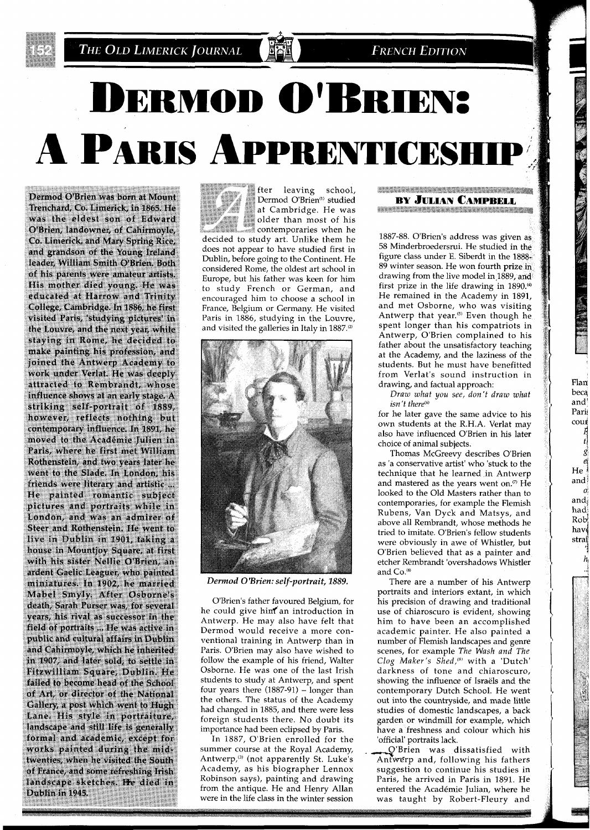

**FRENCH EDITION** 

# **DERMOD O'BRIEN:** A PARIS APPRENTICESHI

Dermod O'Brien was born at Mount Trenchard, Co. Limerick, in 1865, He was the eldest son of Edward O'Brien, landowner, of Cahirmovle, Co. Limerick, and Mary Spring Rice, and grandson of the Young Ireland leader, William Smith O'Brien. Both of his parents were amateur artists. His mother died young. He was educated at Harrow and Trinity College, Cambridge. In 1886, he first visited Paris, 'studying pictures' in the Louvre, and the next year, while staying in Rome, he decided to make painting his profession, and joined the Antwerp Academy to work under Verlat. He was deeply attracted to Rembrandt, whose influence shows at an early stage. A striking self-portrait of 1889, however, reflects nothing but contemporary influence. In 1891, he moved to the Académie Julien in Paris, where he first met William Rothenstein, and two years later he went to the Slade. In London, his friends were literary and artistic ... He painted romantic subject pictures and portraits while in London, and was an admirer of Steer and Rothenstein. He went to live in Dublin in 1901, taking a house in Mountjoy Square, at first with his sister Nellie O'Brien, an ardent Gaelic Leaguer, who painted miniatures. In 1902, he married Mabel Smyly, After Osborne's death, Sarah Purser was, for several years, his rival as successor in the field of portraits ... He was active in public and cultural affairs in Dublin and Cahirmoyle, which he inherited in 1907, and later sold, to settle in Fitzwilliam Square, Dublin. He failed to become head of the School of Art, or director of the National Gallery, a post which went to Hugh Lane. His style in portraiture, landscape and still life is generally formal and academic, except for works painted during the midtwenties, when he visited the South of France, and some refreshing Irish landscape sketches. He died in Dublin in 1945.

fter leaving school, Dermod O'Brien<sup>(1)</sup> studied at Cambridge. He was older than most of his contemporaries when he decided to study art. Unlike them he does not appear to have studied first in Dublin, before going to the Continent. He considered Rome, the oldest art school in Europe, but his father was keen for him to study French or German, and encouraged him to choose a school in France, Belgium or Germany. He visited Paris in 1886, studying in the Louvre, and visited the galleries in Italy in 1887.@)



*Dermod* **0** *'Brien: self-portrait, 1889.* 

O'Brien's father favoured Belgium, for he could give him an introduction in Antwerp. He may also have felt that Dermod would receive a more conventional training in Antwerp than in Paris. O'Brien may also have wished to follow the example of his friend, Walter Osborne. He was one of the last Irish students to study at Antwerp, and spent four years there  $(1887-91)$  - longer than the others. The status of the Academy had changed in 1885, and there were less foreign students there. No doubt its importance had been eclipsed by Paris.

In 1887, O'Brien enrolled for the summer course at the Royal Academy, Antwerp,<sup>(3)</sup> (not apparently St. Luke's Academy, as his biographer Lennox Robinson says), painting and drawing from the antique. He and Henry Allan were in the life class in the winter session

#### <u> Katalog Kalendar (Katalog Katalog Katalog Ka</u> **BY JULIAN CAMPBELL START AND THE REAL PROPERTY OF A REAL PROPERTY.**

1887-88. O'Brien's address was given as 58 Minderbroedersrui. He studied in the figure class under E. Siberdt in the 1888-89 winter season. He won fourth prize in drawing from the live model in 1889, and first prize in the life drawing in  $1890^{40}$ He remained in the Academy in 1891, and met Osborne, who was visiting Antwerp that year.<sup>(5)</sup> Even though he spent longer than his compatriots in Antwerp, O'Brien complained to his father about the unsatisfactory teaching at the Academy, and the laziness of the students. But he must have benefitted from Verlat's sound instruction in drawing, and factual approach:

Draw what you see, don't draw what isn't there<sup>(6)</sup>

and! Pari coud

beca

Flan

He<br>and **0:**  andi had; Rob" hav stral 14

is a del

for he later gave the same advice to his own students at the R.H.A. Verlat may also have influenced O'Brien in his later choice of animal subjects.

Thomas McGreevy describes O'Brien as 'a conservative artist' who 'stuck to the technique that he learned in Antwerp and mastered as the years went on. $@$  He looked to the Old Masters rather than to contemporaries, for example the Flemish Rubens, Van Dyck and Matsys, and above all Rembrandt, whose methods he tried to imitate. O'Brien's fellow students were obviously in awe of Whistler, but O'Brien believed that as a painter and etcher Rembrandt 'overshadows Whistler and Co.<sup>®</sup>

There are a number of his Antwerp portraits and interiors extant, in which his precision of drawing and traditional use of chiaroscuro is evident, showing him to have been an accomplished academic painter. He also painted a number of Flemish landscapes and genre scenes, for example The Wash and The Clog Maker's Shed,<sup>(9)</sup> with a 'Dutch' darkness of tone and chiaroscuro, showing the influence of Israels and the contemporary Dutch School. He went out into the countryside, and made little studies of domestic landscapes, a back garden or windmill for example, which have a freshness and colour which his 'official' portraits lack.

O'Brien was dissatisfied with Antwerp and, following his fathers suggestion to continue his studies in Paris, he arrived in Paris in 1891. He entered the Academie Julian, where he was taught by Robert-Fleury and